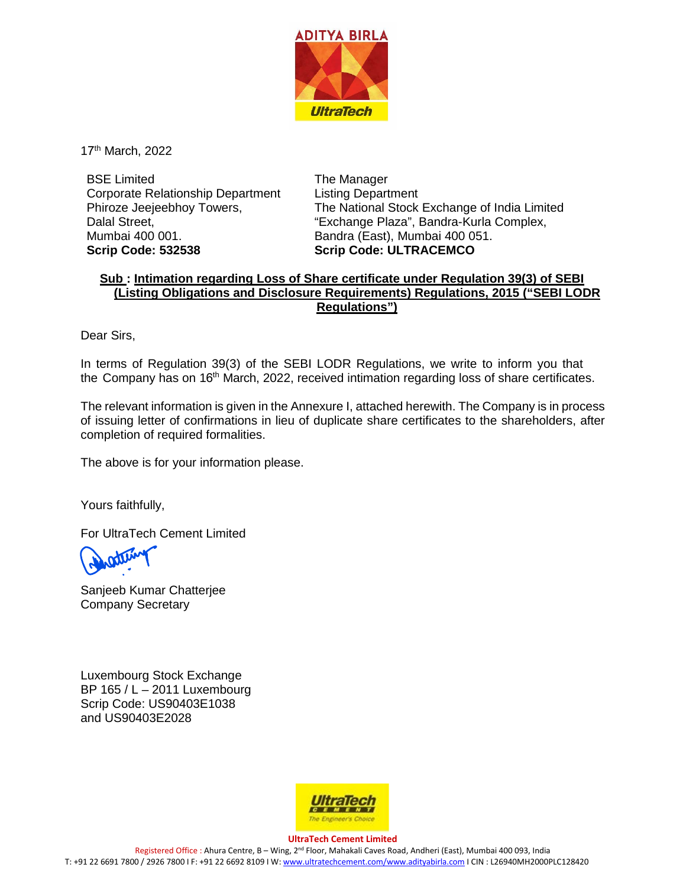

17<sup>th</sup> March, 2022

BSE Limited Corporate Relationship Department Phiroze Jeejeebhoy Towers, Dalal Street, Mumbai 400 001. **Scrip Code: 532538**

The Manager Listing Department The National Stock Exchange of India Limited "Exchange Plaza", Bandra-Kurla Complex, Bandra (East), Mumbai 400 051. **Scrip Code: ULTRACEMCO**

## **Sub : Intimation regarding Loss of Share certificate under Regulation 39(3) of SEBI (Listing Obligations and Disclosure Requirements) Regulations, 2015 ("SEBI LODR Regulations")**

Dear Sirs,

In terms of Regulation 39(3) of the SEBI LODR Regulations, we write to inform you that the Company has on 16<sup>th</sup> March, 2022, received intimation regarding loss of share certificates.

The relevant information is given in the Annexure I, attached herewith. The Company is in process of issuing letter of confirmations in lieu of duplicate share certificates to the shareholders, after completion of required formalities.

The above is for your information please.

Yours faithfully,

For UltraTech Cement Limited

Sanjeeb Kumar Chatterjee Company Secretary

Luxembourg Stock Exchange BP 165 / L – 2011 Luxembourg Scrip Code: US90403E1038 and US90403E2028



**UltraTech Cement Limited** Registered Office : Ahura Centre, B – Wing, 2nd Floor, Mahakali Caves Road, Andheri (East), Mumbai 400 093, India T: +91 22 6691 7800 / 2926 7800 I F: +91 22 6692 8109 I W[: www.ultratechcement.com/www.adityabirla.com](http://www.ultratechcement.com/www.adityabirla.com) I CIN : L26940MH2000PLC128420